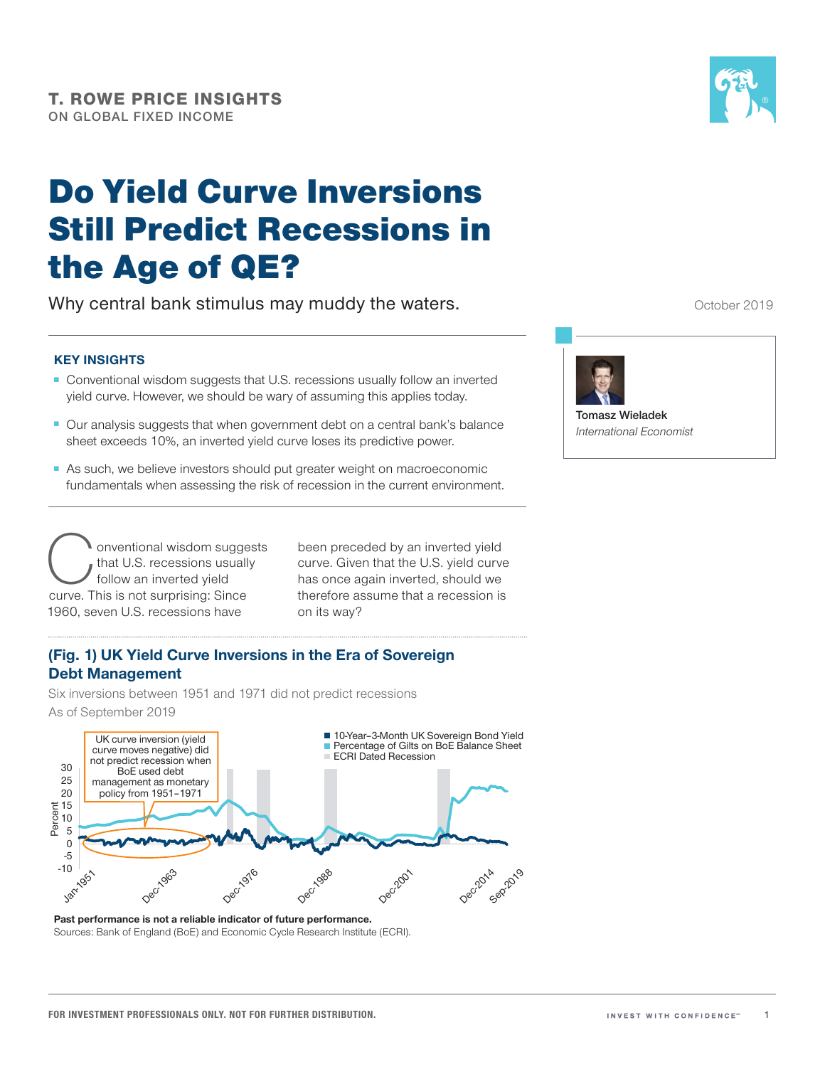# Do Yield Curve Inversions Still Predict Recessions in the Age of QE?

Why central bank stimulus may muddy the waters.

# **KEY INSIGHTS**

- Conventional wisdom suggests that U.S. recessions usually follow an inverted yield curve. However, we should be wary of assuming this applies today.
- Our analysis suggests that when government debt on a central bank's balance sheet exceeds 10%, an inverted yield curve loses its predictive power.
- As such, we believe investors should put greater weight on macroeconomic fundamentals when assessing the risk of recession in the current environment.

onventional wisdom suggests that U.S. recessions usually follow an inverted yield curve. This is not surprising: Since 1960, seven U.S. recessions have

been preceded by an inverted yield curve. Given that the U.S. yield curve has once again inverted, should we therefore assume that a recession is on its way?

# **(Fig. 1) UK Yield Curve Inversions in the Era of Sovereign Debt Management**

Six inversions between 1951 and 1971 did not predict recessions As of September 2019



**Past performance is not a reliable indicator of future performance.** Sources: Bank of England (BoE) and Economic Cycle Research Institute (ECRI).

October 2019



**Tomasz Wieladek**  *International Economist*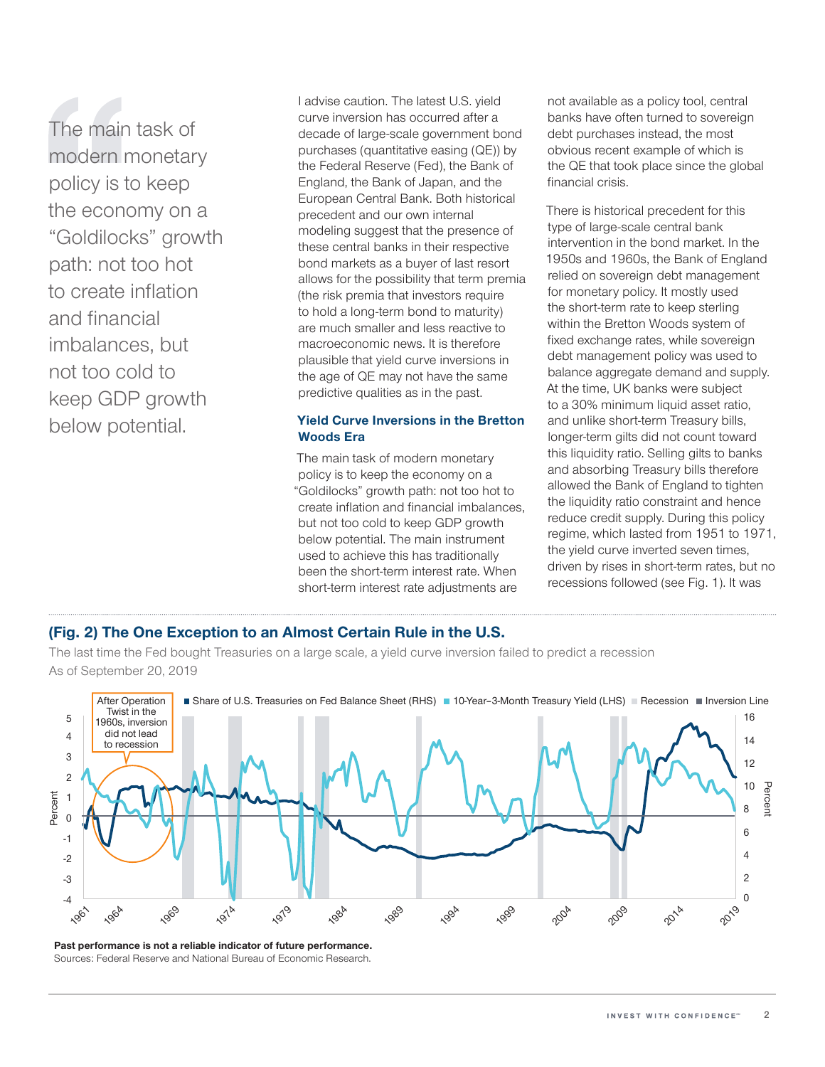The main task of modern monetary policy is to keep the economy on a "Goldilocks" growth path: not too hot to create inflation and financial imbalances, but not too cold to keep GDP growth below potential.

I advise caution. The latest U.S. yield curve inversion has occurred after a decade of large‑scale government bond purchases (quantitative easing (QE)) by the Federal Reserve (Fed), the Bank of England, the Bank of Japan, and the European Central Bank. Both historical precedent and our own internal modeling suggest that the presence of these central banks in their respective bond markets as a buyer of last resort allows for the possibility that term premia (the risk premia that investors require to hold a long-term bond to maturity) are much smaller and less reactive to macroeconomic news. It is therefore plausible that yield curve inversions in the age of QE may not have the same predictive qualities as in the past.

# **Yield Curve Inversions in the Bretton Woods Era**

The main task of modern monetary policy is to keep the economy on a "Goldilocks" growth path: not too hot to create inflation and financial imbalances, but not too cold to keep GDP growth below potential. The main instrument used to achieve this has traditionally been the short-term interest rate. When short-term interest rate adjustments are

not available as a policy tool, central banks have often turned to sovereign debt purchases instead, the most obvious recent example of which is the QE that took place since the global financial crisis.

There is historical precedent for this type of large‑scale central bank intervention in the bond market. In the 1950s and 1960s, the Bank of England relied on sovereign debt management for monetary policy. It mostly used the short-term rate to keep sterling within the Bretton Woods system of fixed exchange rates, while sovereign debt management policy was used to balance aggregate demand and supply. At the time, UK banks were subject to a 30% minimum liquid asset ratio, and unlike short-term Treasury bills, longer‑term gilts did not count toward this liquidity ratio. Selling gilts to banks and absorbing Treasury bills therefore allowed the Bank of England to tighten the liquidity ratio constraint and hence reduce credit supply. During this policy regime, which lasted from 1951 to 1971, the yield curve inverted seven times, driven by rises in short-term rates, but no recessions followed (see Fig. 1). It was

# **(Fig. 2) The One Exception to an Almost Certain Rule in the U.S.**

The last time the Fed bought Treasuries on a large scale, a yield curve inversion failed to predict a recession As of September 20, 2019



**Past performance is not a reliable indicator of future performance.** Sources: Federal Reserve and National Bureau of Economic Research.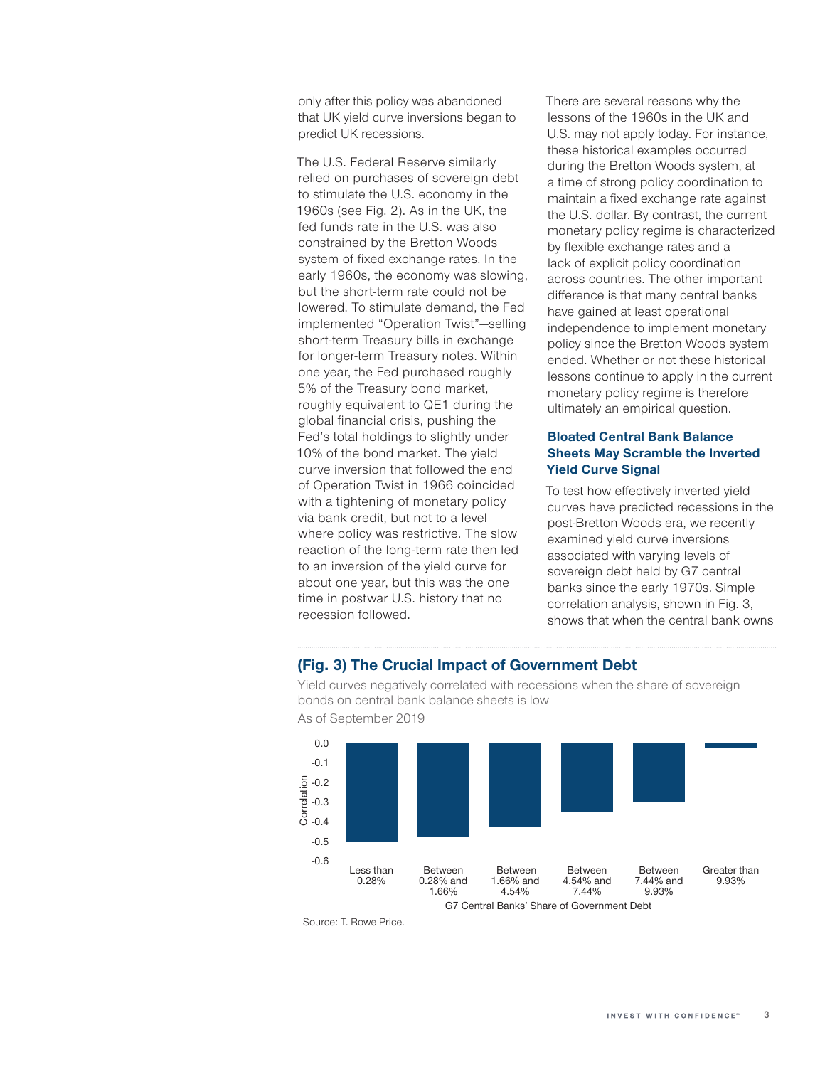only after this policy was abandoned that UK yield curve inversions began to predict UK recessions.

The U.S. Federal Reserve similarly relied on purchases of sovereign debt to stimulate the U.S. economy in the 1960s (see Fig. 2). As in the UK, the fed funds rate in the U.S. was also constrained by the Bretton Woods system of fixed exchange rates. In the early 1960s, the economy was slowing, but the short-term rate could not be lowered. To stimulate demand, the Fed implemented "Operation Twist"—selling short-term Treasury bills in exchange for longer-term Treasury notes. Within one year, the Fed purchased roughly 5% of the Treasury bond market, roughly equivalent to QE1 during the global financial crisis, pushing the Fed's total holdings to slightly under 10% of the bond market. The yield curve inversion that followed the end of Operation Twist in 1966 coincided with a tightening of monetary policy via bank credit, but not to a level where policy was restrictive. The slow reaction of the long-term rate then led to an inversion of the yield curve for about one year, but this was the one time in postwar U.S. history that no recession followed.

There are several reasons why the lessons of the 1960s in the UK and U.S. may not apply today. For instance, these historical examples occurred during the Bretton Woods system, at a time of strong policy coordination to maintain a fixed exchange rate against the U.S. dollar. By contrast, the current monetary policy regime is characterized by flexible exchange rates and a lack of explicit policy coordination across countries. The other important difference is that many central banks have gained at least operational independence to implement monetary policy since the Bretton Woods system ended. Whether or not these historical lessons continue to apply in the current monetary policy regime is therefore ultimately an empirical question.

# **Bloated Central Bank Balance Sheets May Scramble the Inverted Yield Curve Signal**

To test how effectively inverted yield curves have predicted recessions in the post-Bretton Woods era, we recently examined yield curve inversions associated with varying levels of sovereign debt held by G7 central banks since the early 1970s. Simple correlation analysis, shown in Fig. 3, shows that when the central bank owns

# **(Fig. 3) The Crucial Impact of Government Debt**

Yield curves negatively correlated with recessions when the share of sovereign bonds on central bank balance sheets is low



As of September 2019

Source: T. Rowe Price.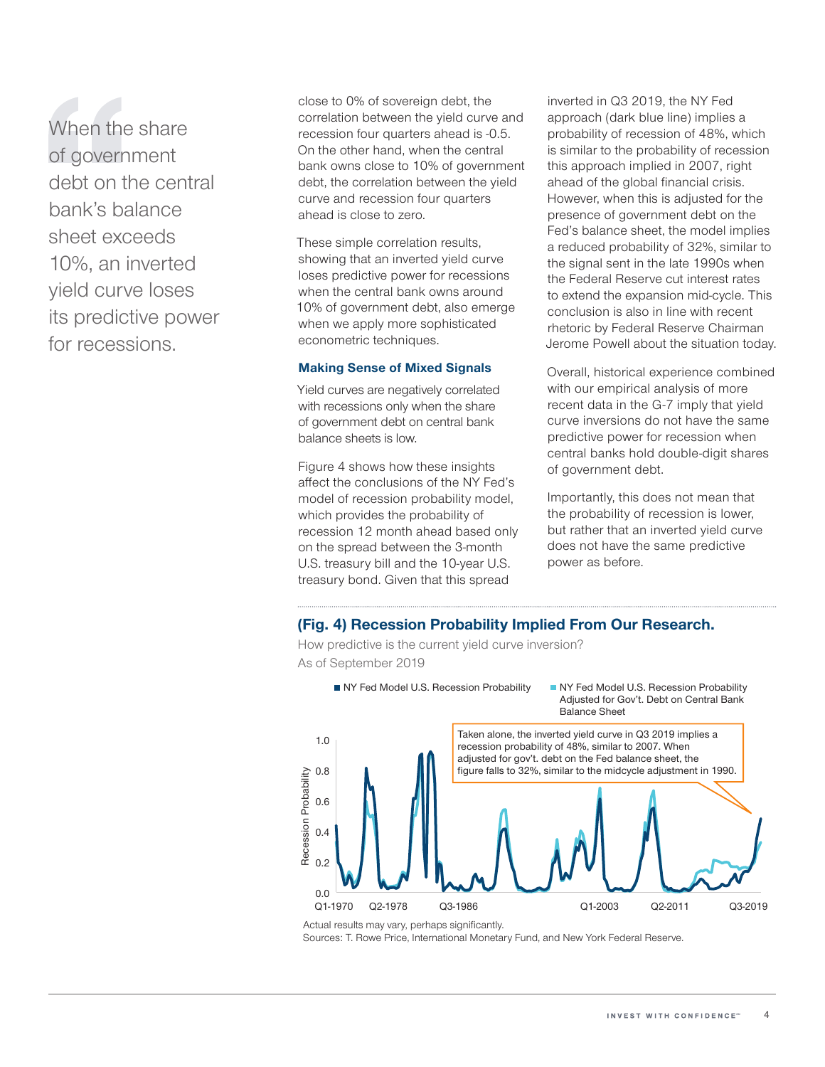When the share of government debt on the central bank's balance sheet exceeds 10%, an inverted yield curve loses its predictive power for recessions.

close to 0% of sovereign debt, the correlation between the yield curve and recession four quarters ahead is -0.5. On the other hand, when the central bank owns close to 10% of government debt, the correlation between the yield curve and recession four quarters ahead is close to zero.

These simple correlation results, showing that an inverted yield curve loses predictive power for recessions when the central bank owns around 10% of government debt, also emerge when we apply more sophisticated econometric techniques.

#### **Making Sense of Mixed Signals**

Yield curves are negatively correlated with recessions only when the share of government debt on central bank balance sheets is low.

Figure 4 shows how these insights affect the conclusions of the NY Fed's model of recession probability model, which provides the probability of recession 12 month ahead based only on the spread between the 3-month U.S. treasury bill and the 10-year U.S. treasury bond. Given that this spread

inverted in Q3 2019, the NY Fed approach (dark blue line) implies a probability of recession of 48%, which is similar to the probability of recession this approach implied in 2007, right ahead of the global financial crisis. However, when this is adjusted for the presence of government debt on the Fed's balance sheet, the model implies a reduced probability of 32%, similar to the signal sent in the late 1990s when the Federal Reserve cut interest rates to extend the expansion mid-cycle. This conclusion is also in line with recent rhetoric by Federal Reserve Chairman Jerome Powell about the situation today.

Overall, historical experience combined with our empirical analysis of more recent data in the G‑7 imply that yield curve inversions do not have the same predictive power for recession when central banks hold double‑digit shares of government debt.

Importantly, this does not mean that the probability of recession is lower, but rather that an inverted yield curve does not have the same predictive power as before.

## **(Fig. 4) Recession Probability Implied From Our Research.**

How predictive is the current yield curve inversion? As of September 2019



Actual results may vary, perhaps significantly.

Sources: T. Rowe Price, International Monetary Fund, and New York Federal Reserve.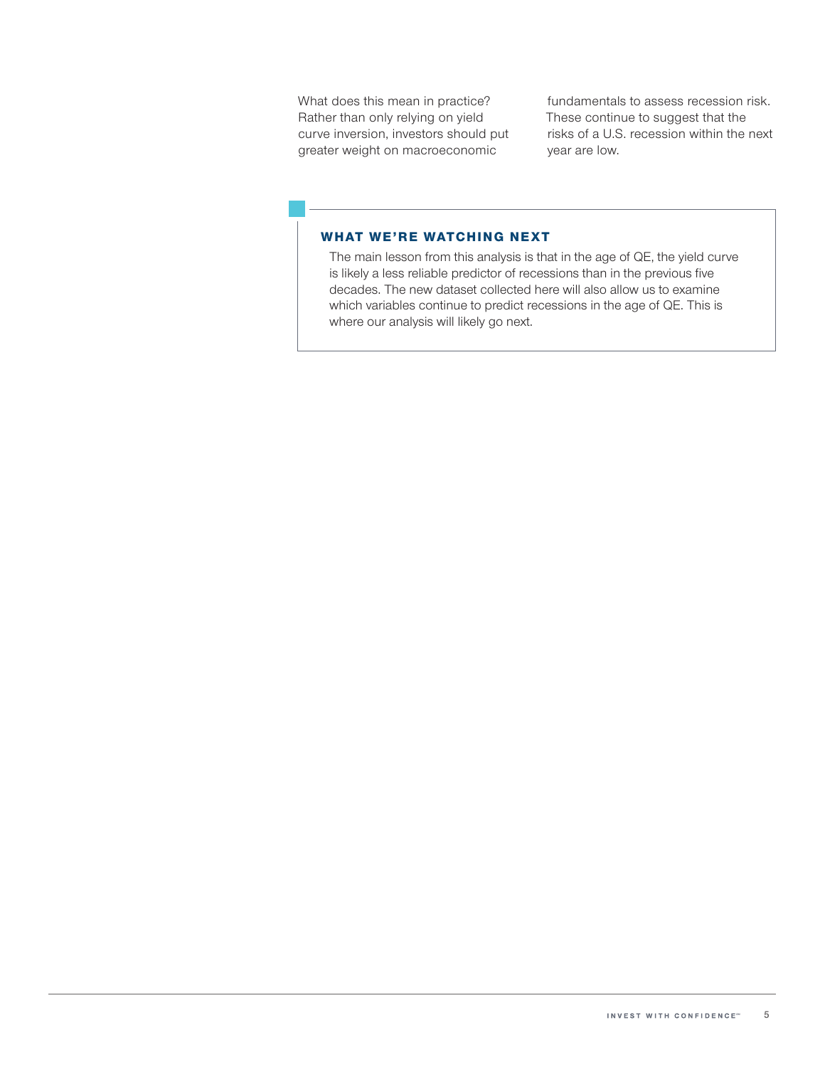What does this mean in practice? Rather than only relying on yield curve inversion, investors should put greater weight on macroeconomic

fundamentals to assess recession risk. These continue to suggest that the risks of a U.S. recession within the next year are low.

# WHAT WE'RE WATCHING NEXT

The main lesson from this analysis is that in the age of QE, the yield curve is likely a less reliable predictor of recessions than in the previous five decades. The new dataset collected here will also allow us to examine which variables continue to predict recessions in the age of QE. This is where our analysis will likely go next.